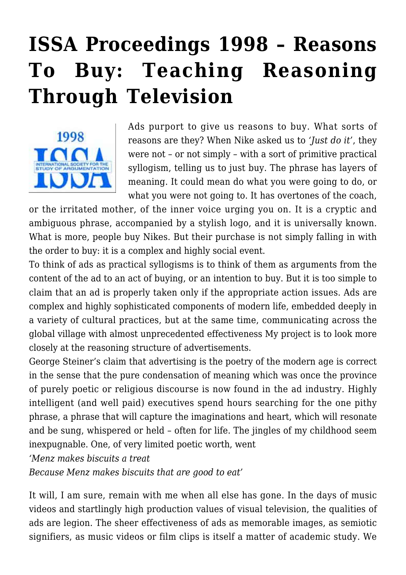# **[ISSA Proceedings 1998 – Reasons](https://rozenbergquarterly.com/issa-proceedings-1998-reasons-to-buy-teaching-reasoning-through-television/) [To Buy: Teaching Reasoning](https://rozenbergquarterly.com/issa-proceedings-1998-reasons-to-buy-teaching-reasoning-through-television/) [Through Television](https://rozenbergquarterly.com/issa-proceedings-1998-reasons-to-buy-teaching-reasoning-through-television/)**



Ads purport to give us reasons to buy. What sorts of reasons are they? When Nike asked us to *'Just do it'*, they were not – or not simply – with a sort of primitive practical syllogism, telling us to just buy. The phrase has layers of meaning. It could mean do what you were going to do, or what you were not going to. It has overtones of the coach,

or the irritated mother, of the inner voice urging you on. It is a cryptic and ambiguous phrase, accompanied by a stylish logo, and it is universally known. What is more, people buy Nikes. But their purchase is not simply falling in with the order to buy: it is a complex and highly social event.

To think of ads as practical syllogisms is to think of them as arguments from the content of the ad to an act of buying, or an intention to buy. But it is too simple to claim that an ad is properly taken only if the appropriate action issues. Ads are complex and highly sophisticated components of modern life, embedded deeply in a variety of cultural practices, but at the same time, communicating across the global village with almost unprecedented effectiveness My project is to look more closely at the reasoning structure of advertisements.

George Steiner's claim that advertising is the poetry of the modern age is correct in the sense that the pure condensation of meaning which was once the province of purely poetic or religious discourse is now found in the ad industry. Highly intelligent (and well paid) executives spend hours searching for the one pithy phrase, a phrase that will capture the imaginations and heart, which will resonate and be sung, whispered or held – often for life. The jingles of my childhood seem inexpugnable. One, of very limited poetic worth, went

*'Menz makes biscuits a treat*

*Because Menz makes biscuits that are good to eat'*

It will, I am sure, remain with me when all else has gone. In the days of music videos and startlingly high production values of visual television, the qualities of ads are legion. The sheer effectiveness of ads as memorable images, as semiotic signifiers, as music videos or film clips is itself a matter of academic study. We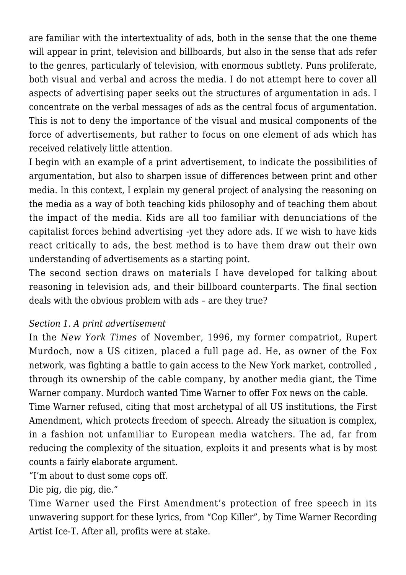are familiar with the intertextuality of ads, both in the sense that the one theme will appear in print, television and billboards, but also in the sense that ads refer to the genres, particularly of television, with enormous subtlety. Puns proliferate, both visual and verbal and across the media. I do not attempt here to cover all aspects of advertising paper seeks out the structures of argumentation in ads. I concentrate on the verbal messages of ads as the central focus of argumentation. This is not to deny the importance of the visual and musical components of the force of advertisements, but rather to focus on one element of ads which has received relatively little attention.

I begin with an example of a print advertisement, to indicate the possibilities of argumentation, but also to sharpen issue of differences between print and other media. In this context, I explain my general project of analysing the reasoning on the media as a way of both teaching kids philosophy and of teaching them about the impact of the media. Kids are all too familiar with denunciations of the capitalist forces behind advertising -yet they adore ads. If we wish to have kids react critically to ads, the best method is to have them draw out their own understanding of advertisements as a starting point.

The second section draws on materials I have developed for talking about reasoning in television ads, and their billboard counterparts. The final section deals with the obvious problem with ads – are they true?

### *Section 1. A print advertisement*

In the *New York Times* of November, 1996, my former compatriot, Rupert Murdoch, now a US citizen, placed a full page ad. He, as owner of the Fox network, was fighting a battle to gain access to the New York market, controlled , through its ownership of the cable company, by another media giant, the Time Warner company. Murdoch wanted Time Warner to offer Fox news on the cable. Time Warner refused, citing that most archetypal of all US institutions, the First Amendment, which protects freedom of speech. Already the situation is complex, in a fashion not unfamiliar to European media watchers. The ad, far from reducing the complexity of the situation, exploits it and presents what is by most counts a fairly elaborate argument.

"I'm about to dust some cops off.

Die pig, die pig, die."

Time Warner used the First Amendment's protection of free speech in its unwavering support for these lyrics, from "Cop Killer", by Time Warner Recording Artist Ice-T. After all, profits were at stake.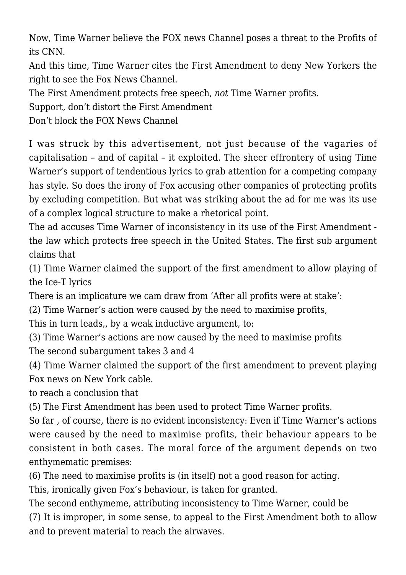Now, Time Warner believe the FOX news Channel poses a threat to the Profits of its CNN.

And this time, Time Warner cites the First Amendment to deny New Yorkers the right to see the Fox News Channel.

The First Amendment protects free speech, *not* Time Warner profits.

Support, don't distort the First Amendment

Don't block the FOX News Channel

I was struck by this advertisement, not just because of the vagaries of capitalisation – and of capital – it exploited. The sheer effrontery of using Time Warner's support of tendentious lyrics to grab attention for a competing company has style. So does the irony of Fox accusing other companies of protecting profits by excluding competition. But what was striking about the ad for me was its use of a complex logical structure to make a rhetorical point.

The ad accuses Time Warner of inconsistency in its use of the First Amendment the law which protects free speech in the United States. The first sub argument claims that

(1) Time Warner claimed the support of the first amendment to allow playing of the Ice-T lyrics

There is an implicature we cam draw from 'After all profits were at stake':

(2) Time Warner's action were caused by the need to maximise profits,

This in turn leads,, by a weak inductive argument, to:

(3) Time Warner's actions are now caused by the need to maximise profits The second subargument takes 3 and 4

(4) Time Warner claimed the support of the first amendment to prevent playing Fox news on New York cable.

to reach a conclusion that

(5) The First Amendment has been used to protect Time Warner profits.

So far , of course, there is no evident inconsistency: Even if Time Warner's actions were caused by the need to maximise profits, their behaviour appears to be consistent in both cases. The moral force of the argument depends on two enthymematic premises:

(6) The need to maximise profits is (in itself) not a good reason for acting.

This, ironically given Fox's behaviour, is taken for granted.

The second enthymeme, attributing inconsistency to Time Warner, could be (7) It is improper, in some sense, to appeal to the First Amendment both to allow and to prevent material to reach the airwaves.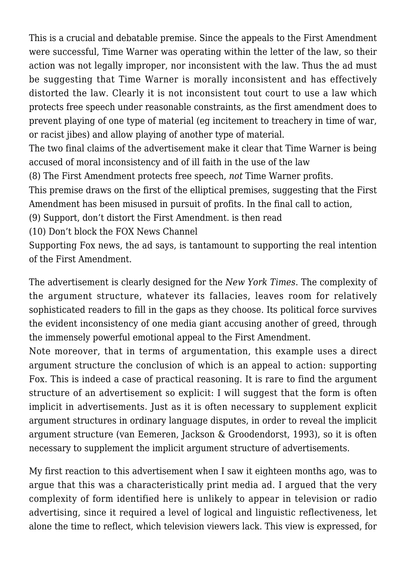This is a crucial and debatable premise. Since the appeals to the First Amendment were successful, Time Warner was operating within the letter of the law, so their action was not legally improper, nor inconsistent with the law. Thus the ad must be suggesting that Time Warner is morally inconsistent and has effectively distorted the law. Clearly it is not inconsistent tout court to use a law which protects free speech under reasonable constraints, as the first amendment does to prevent playing of one type of material (eg incitement to treachery in time of war, or racist jibes) and allow playing of another type of material.

The two final claims of the advertisement make it clear that Time Warner is being accused of moral inconsistency and of ill faith in the use of the law

(8) The First Amendment protects free speech, *not* Time Warner profits.

This premise draws on the first of the elliptical premises, suggesting that the First Amendment has been misused in pursuit of profits. In the final call to action,

(9) Support, don't distort the First Amendment. is then read

(10) Don't block the FOX News Channel

Supporting Fox news, the ad says, is tantamount to supporting the real intention of the First Amendment.

The advertisement is clearly designed for the *New York Times*. The complexity of the argument structure, whatever its fallacies, leaves room for relatively sophisticated readers to fill in the gaps as they choose. Its political force survives the evident inconsistency of one media giant accusing another of greed, through the immensely powerful emotional appeal to the First Amendment.

Note moreover, that in terms of argumentation, this example uses a direct argument structure the conclusion of which is an appeal to action: supporting Fox. This is indeed a case of practical reasoning. It is rare to find the argument structure of an advertisement so explicit: I will suggest that the form is often implicit in advertisements. Just as it is often necessary to supplement explicit argument structures in ordinary language disputes, in order to reveal the implicit argument structure (van Eemeren, Jackson & Groodendorst, 1993), so it is often necessary to supplement the implicit argument structure of advertisements.

My first reaction to this advertisement when I saw it eighteen months ago, was to argue that this was a characteristically print media ad. I argued that the very complexity of form identified here is unlikely to appear in television or radio advertising, since it required a level of logical and linguistic reflectiveness, let alone the time to reflect, which television viewers lack. This view is expressed, for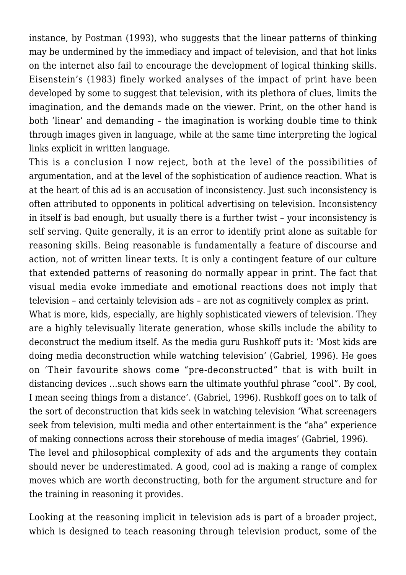instance, by Postman (1993), who suggests that the linear patterns of thinking may be undermined by the immediacy and impact of television, and that hot links on the internet also fail to encourage the development of logical thinking skills. Eisenstein's (1983) finely worked analyses of the impact of print have been developed by some to suggest that television, with its plethora of clues, limits the imagination, and the demands made on the viewer. Print, on the other hand is both 'linear' and demanding – the imagination is working double time to think through images given in language, while at the same time interpreting the logical links explicit in written language.

This is a conclusion I now reject, both at the level of the possibilities of argumentation, and at the level of the sophistication of audience reaction. What is at the heart of this ad is an accusation of inconsistency. Just such inconsistency is often attributed to opponents in political advertising on television. Inconsistency in itself is bad enough, but usually there is a further twist – your inconsistency is self serving. Quite generally, it is an error to identify print alone as suitable for reasoning skills. Being reasonable is fundamentally a feature of discourse and action, not of written linear texts. It is only a contingent feature of our culture that extended patterns of reasoning do normally appear in print. The fact that visual media evoke immediate and emotional reactions does not imply that television – and certainly television ads – are not as cognitively complex as print.

What is more, kids, especially, are highly sophisticated viewers of television. They are a highly televisually literate generation, whose skills include the ability to deconstruct the medium itself. As the media guru Rushkoff puts it: 'Most kids are doing media deconstruction while watching television' (Gabriel, 1996). He goes on 'Their favourite shows come "pre-deconstructed" that is with built in distancing devices …such shows earn the ultimate youthful phrase "cool". By cool, I mean seeing things from a distance'. (Gabriel, 1996). Rushkoff goes on to talk of the sort of deconstruction that kids seek in watching television 'What screenagers seek from television, multi media and other entertainment is the "aha" experience of making connections across their storehouse of media images' (Gabriel, 1996). The level and philosophical complexity of ads and the arguments they contain should never be underestimated. A good, cool ad is making a range of complex

moves which are worth deconstructing, both for the argument structure and for the training in reasoning it provides.

Looking at the reasoning implicit in television ads is part of a broader project, which is designed to teach reasoning through television product, some of the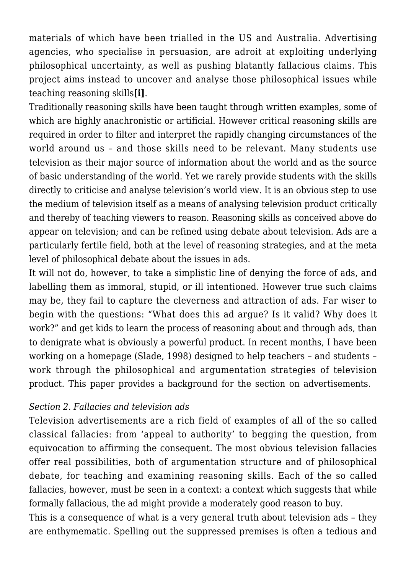materials of which have been trialled in the US and Australia. Advertising agencies, who specialise in persuasion, are adroit at exploiting underlying philosophical uncertainty, as well as pushing blatantly fallacious claims. This project aims instead to uncover and analyse those philosophical issues while teaching reasoning skills**[i]**.

Traditionally reasoning skills have been taught through written examples, some of which are highly anachronistic or artificial. However critical reasoning skills are required in order to filter and interpret the rapidly changing circumstances of the world around us – and those skills need to be relevant. Many students use television as their major source of information about the world and as the source of basic understanding of the world. Yet we rarely provide students with the skills directly to criticise and analyse television's world view. It is an obvious step to use the medium of television itself as a means of analysing television product critically and thereby of teaching viewers to reason. Reasoning skills as conceived above do appear on television; and can be refined using debate about television. Ads are a particularly fertile field, both at the level of reasoning strategies, and at the meta level of philosophical debate about the issues in ads.

It will not do, however, to take a simplistic line of denying the force of ads, and labelling them as immoral, stupid, or ill intentioned. However true such claims may be, they fail to capture the cleverness and attraction of ads. Far wiser to begin with the questions: "What does this ad argue? Is it valid? Why does it work?" and get kids to learn the process of reasoning about and through ads, than to denigrate what is obviously a powerful product. In recent months, I have been working on a homepage (Slade, 1998) designed to help teachers – and students – work through the philosophical and argumentation strategies of television product. This paper provides a background for the section on advertisements.

### *Section 2. Fallacies and television ads*

Television advertisements are a rich field of examples of all of the so called classical fallacies: from 'appeal to authority' to begging the question, from equivocation to affirming the consequent. The most obvious television fallacies offer real possibilities, both of argumentation structure and of philosophical debate, for teaching and examining reasoning skills. Each of the so called fallacies, however, must be seen in a context: a context which suggests that while formally fallacious, the ad might provide a moderately good reason to buy.

This is a consequence of what is a very general truth about television ads – they are enthymematic. Spelling out the suppressed premises is often a tedious and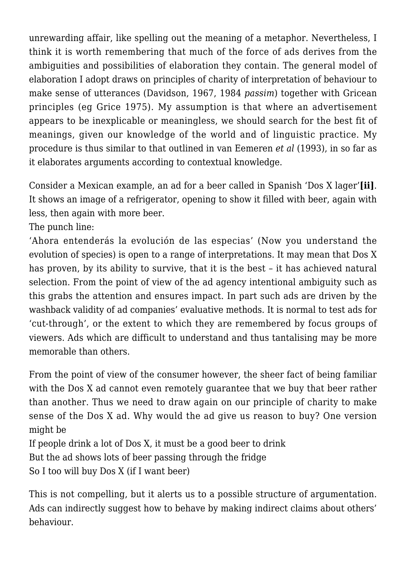unrewarding affair, like spelling out the meaning of a metaphor. Nevertheless, I think it is worth remembering that much of the force of ads derives from the ambiguities and possibilities of elaboration they contain. The general model of elaboration I adopt draws on principles of charity of interpretation of behaviour to make sense of utterances (Davidson, 1967, 1984 *passim*) together with Gricean principles (eg Grice 1975). My assumption is that where an advertisement appears to be inexplicable or meaningless, we should search for the best fit of meanings, given our knowledge of the world and of linguistic practice. My procedure is thus similar to that outlined in van Eemeren *et al* (1993), in so far as it elaborates arguments according to contextual knowledge.

Consider a Mexican example, an ad for a beer called in Spanish 'Dos X lager'**[ii]**. It shows an image of a refrigerator, opening to show it filled with beer, again with less, then again with more beer.

The punch line:

'Ahora entenderás la evolución de las especias' (Now you understand the evolution of species) is open to a range of interpretations. It may mean that Dos X has proven, by its ability to survive, that it is the best – it has achieved natural selection. From the point of view of the ad agency intentional ambiguity such as this grabs the attention and ensures impact. In part such ads are driven by the washback validity of ad companies' evaluative methods. It is normal to test ads for 'cut-through', or the extent to which they are remembered by focus groups of viewers. Ads which are difficult to understand and thus tantalising may be more memorable than others.

From the point of view of the consumer however, the sheer fact of being familiar with the Dos X ad cannot even remotely guarantee that we buy that beer rather than another. Thus we need to draw again on our principle of charity to make sense of the Dos X ad. Why would the ad give us reason to buy? One version might be

If people drink a lot of Dos X, it must be a good beer to drink

But the ad shows lots of beer passing through the fridge

So I too will buy Dos X (if I want beer)

This is not compelling, but it alerts us to a possible structure of argumentation. Ads can indirectly suggest how to behave by making indirect claims about others' behaviour.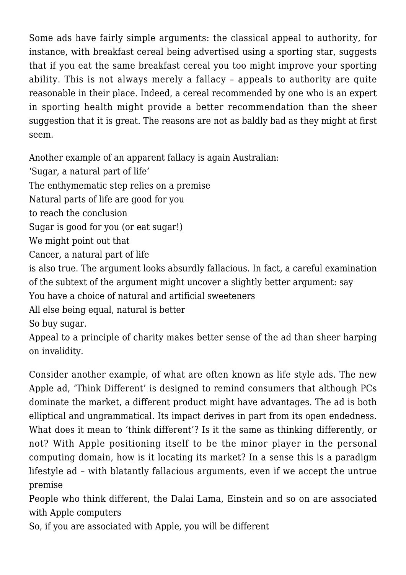Some ads have fairly simple arguments: the classical appeal to authority, for instance, with breakfast cereal being advertised using a sporting star, suggests that if you eat the same breakfast cereal you too might improve your sporting ability. This is not always merely a fallacy – appeals to authority are quite reasonable in their place. Indeed, a cereal recommended by one who is an expert in sporting health might provide a better recommendation than the sheer suggestion that it is great. The reasons are not as baldly bad as they might at first seem.

Another example of an apparent fallacy is again Australian:

'Sugar, a natural part of life'

The enthymematic step relies on a premise

Natural parts of life are good for you

to reach the conclusion

Sugar is good for you (or eat sugar!)

We might point out that

Cancer, a natural part of life

is also true. The argument looks absurdly fallacious. In fact, a careful examination of the subtext of the argument might uncover a slightly better argument: say You have a choice of natural and artificial sweeteners

All else being equal, natural is better

So buy sugar.

Appeal to a principle of charity makes better sense of the ad than sheer harping on invalidity.

Consider another example, of what are often known as life style ads. The new Apple ad, 'Think Different' is designed to remind consumers that although PCs dominate the market, a different product might have advantages. The ad is both elliptical and ungrammatical. Its impact derives in part from its open endedness. What does it mean to 'think different'? Is it the same as thinking differently, or not? With Apple positioning itself to be the minor player in the personal computing domain, how is it locating its market? In a sense this is a paradigm lifestyle ad – with blatantly fallacious arguments, even if we accept the untrue premise

People who think different, the Dalai Lama, Einstein and so on are associated with Apple computers

So, if you are associated with Apple, you will be different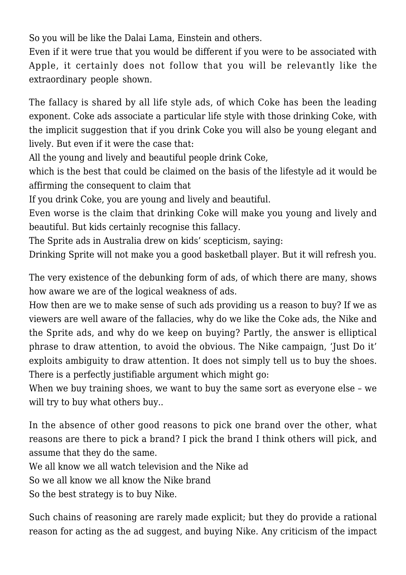So you will be like the Dalai Lama, Einstein and others.

Even if it were true that you would be different if you were to be associated with Apple, it certainly does not follow that you will be relevantly like the extraordinary people shown.

The fallacy is shared by all life style ads, of which Coke has been the leading exponent. Coke ads associate a particular life style with those drinking Coke, with the implicit suggestion that if you drink Coke you will also be young elegant and lively. But even if it were the case that:

All the young and lively and beautiful people drink Coke,

which is the best that could be claimed on the basis of the lifestyle ad it would be affirming the consequent to claim that

If you drink Coke, you are young and lively and beautiful.

Even worse is the claim that drinking Coke will make you young and lively and beautiful. But kids certainly recognise this fallacy.

The Sprite ads in Australia drew on kids' scepticism, saying:

Drinking Sprite will not make you a good basketball player. But it will refresh you.

The very existence of the debunking form of ads, of which there are many, shows how aware we are of the logical weakness of ads.

How then are we to make sense of such ads providing us a reason to buy? If we as viewers are well aware of the fallacies, why do we like the Coke ads, the Nike and the Sprite ads, and why do we keep on buying? Partly, the answer is elliptical phrase to draw attention, to avoid the obvious. The Nike campaign, 'Just Do it' exploits ambiguity to draw attention. It does not simply tell us to buy the shoes. There is a perfectly justifiable argument which might go:

When we buy training shoes, we want to buy the same sort as everyone else – we will try to buy what others buy...

In the absence of other good reasons to pick one brand over the other, what reasons are there to pick a brand? I pick the brand I think others will pick, and assume that they do the same.

We all know we all watch television and the Nike ad

So we all know we all know the Nike brand

So the best strategy is to buy Nike.

Such chains of reasoning are rarely made explicit; but they do provide a rational reason for acting as the ad suggest, and buying Nike. Any criticism of the impact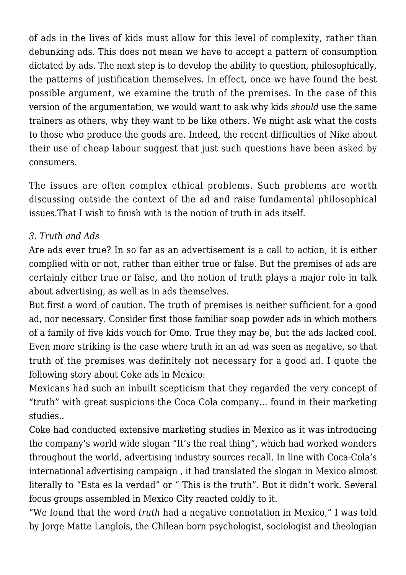of ads in the lives of kids must allow for this level of complexity, rather than debunking ads. This does not mean we have to accept a pattern of consumption dictated by ads. The next step is to develop the ability to question, philosophically, the patterns of justification themselves. In effect, once we have found the best possible argument, we examine the truth of the premises. In the case of this version of the argumentation, we would want to ask why kids *should* use the same trainers as others, why they want to be like others. We might ask what the costs to those who produce the goods are. Indeed, the recent difficulties of Nike about their use of cheap labour suggest that just such questions have been asked by consumers.

The issues are often complex ethical problems. Such problems are worth discussing outside the context of the ad and raise fundamental philosophical issues.That I wish to finish with is the notion of truth in ads itself.

## *3. Truth and Ads*

Are ads ever true? In so far as an advertisement is a call to action, it is either complied with or not, rather than either true or false. But the premises of ads are certainly either true or false, and the notion of truth plays a major role in talk about advertising, as well as in ads themselves.

But first a word of caution. The truth of premises is neither sufficient for a good ad, nor necessary. Consider first those familiar soap powder ads in which mothers of a family of five kids vouch for Omo. True they may be, but the ads lacked cool. Even more striking is the case where truth in an ad was seen as negative, so that truth of the premises was definitely not necessary for a good ad. I quote the following story about Coke ads in Mexico:

Mexicans had such an inbuilt scepticism that they regarded the very concept of "truth" with great suspicions the Coca Cola company… found in their marketing studies..

Coke had conducted extensive marketing studies in Mexico as it was introducing the company's world wide slogan "It's the real thing", which had worked wonders throughout the world, advertising industry sources recall. In line with Coca-Cola's international advertising campaign , it had translated the slogan in Mexico almost literally to "Esta es la verdad" or " This is the truth". But it didn't work. Several focus groups assembled in Mexico City reacted coldly to it.

"We found that the word *truth* had a negative connotation in Mexico," I was told by Jorge Matte Langlois, the Chilean born psychologist, sociologist and theologian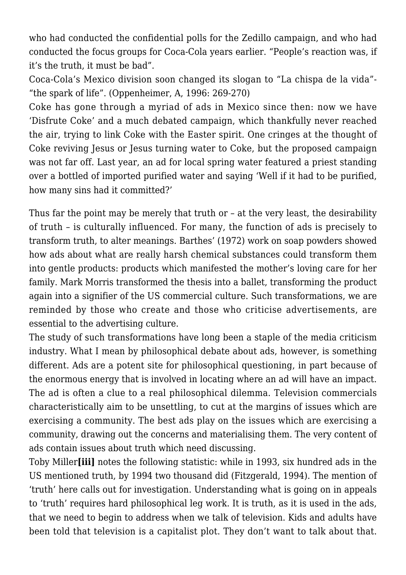who had conducted the confidential polls for the Zedillo campaign, and who had conducted the focus groups for Coca-Cola years earlier. "People's reaction was, if it's the truth, it must be bad".

Coca-Cola's Mexico division soon changed its slogan to "La chispa de la vida"- "the spark of life". (Oppenheimer, A, 1996: 269-270)

Coke has gone through a myriad of ads in Mexico since then: now we have 'Disfrute Coke' and a much debated campaign, which thankfully never reached the air, trying to link Coke with the Easter spirit. One cringes at the thought of Coke reviving Jesus or Jesus turning water to Coke, but the proposed campaign was not far off. Last year, an ad for local spring water featured a priest standing over a bottled of imported purified water and saying 'Well if it had to be purified, how many sins had it committed?'

Thus far the point may be merely that truth or – at the very least, the desirability of truth – is culturally influenced. For many, the function of ads is precisely to transform truth, to alter meanings. Barthes' (1972) work on soap powders showed how ads about what are really harsh chemical substances could transform them into gentle products: products which manifested the mother's loving care for her family. Mark Morris transformed the thesis into a ballet, transforming the product again into a signifier of the US commercial culture. Such transformations, we are reminded by those who create and those who criticise advertisements, are essential to the advertising culture.

The study of such transformations have long been a staple of the media criticism industry. What I mean by philosophical debate about ads, however, is something different. Ads are a potent site for philosophical questioning, in part because of the enormous energy that is involved in locating where an ad will have an impact. The ad is often a clue to a real philosophical dilemma. Television commercials characteristically aim to be unsettling, to cut at the margins of issues which are exercising a community. The best ads play on the issues which are exercising a community, drawing out the concerns and materialising them. The very content of ads contain issues about truth which need discussing.

Toby Miller**[iii]** notes the following statistic: while in 1993, six hundred ads in the US mentioned truth, by 1994 two thousand did (Fitzgerald, 1994). The mention of 'truth' here calls out for investigation. Understanding what is going on in appeals to 'truth' requires hard philosophical leg work. It is truth, as it is used in the ads, that we need to begin to address when we talk of television. Kids and adults have been told that television is a capitalist plot. They don't want to talk about that.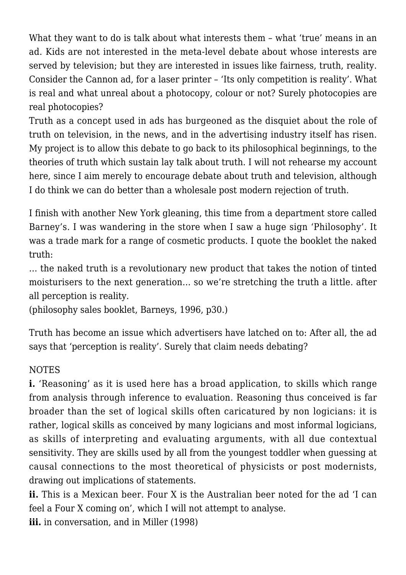What they want to do is talk about what interests them – what 'true' means in an ad. Kids are not interested in the meta-level debate about whose interests are served by television; but they are interested in issues like fairness, truth, reality. Consider the Cannon ad, for a laser printer – 'Its only competition is reality'. What is real and what unreal about a photocopy, colour or not? Surely photocopies are real photocopies?

Truth as a concept used in ads has burgeoned as the disquiet about the role of truth on television, in the news, and in the advertising industry itself has risen. My project is to allow this debate to go back to its philosophical beginnings, to the theories of truth which sustain lay talk about truth. I will not rehearse my account here, since I aim merely to encourage debate about truth and television, although I do think we can do better than a wholesale post modern rejection of truth.

I finish with another New York gleaning, this time from a department store called Barney's. I was wandering in the store when I saw a huge sign 'Philosophy'. It was a trade mark for a range of cosmetic products. I quote the booklet the naked truth:

… the naked truth is a revolutionary new product that takes the notion of tinted moisturisers to the next generation… so we're stretching the truth a little. after all perception is reality.

(philosophy sales booklet, Barneys, 1996, p30.)

Truth has become an issue which advertisers have latched on to: After all, the ad says that 'perception is reality'. Surely that claim needs debating?

### NOTES

**i.** 'Reasoning' as it is used here has a broad application, to skills which range from analysis through inference to evaluation. Reasoning thus conceived is far broader than the set of logical skills often caricatured by non logicians: it is rather, logical skills as conceived by many logicians and most informal logicians, as skills of interpreting and evaluating arguments, with all due contextual sensitivity. They are skills used by all from the youngest toddler when guessing at causal connections to the most theoretical of physicists or post modernists, drawing out implications of statements.

**ii.** This is a Mexican beer. Four X is the Australian beer noted for the ad 'I can feel a Four X coming on', which I will not attempt to analyse.

iii. in conversation, and in Miller (1998)